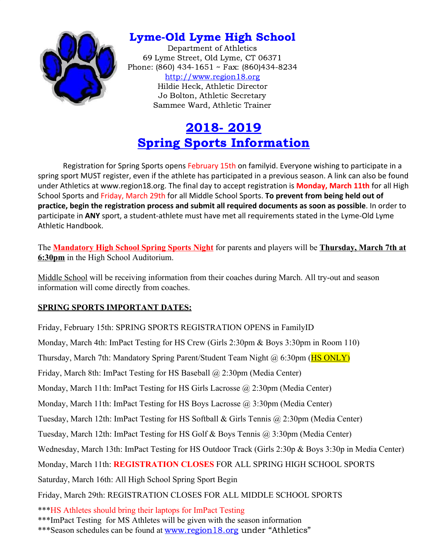

## Lyme-Old Lyme High School

Department of Athletics 69 Lyme Street, Old Lyme, CT 06371 Phone: (860) 434-1651 ~ Fax: (860)434-8234 [http://www.region18.org](http://www.region18.org/) Hildie Heck, Athletic Director Jo Bolton, Athletic Secretary Sammee Ward, Athletic Trainer

# 2018- 2019 Spring Sports Information

Registration for Spring Sports opens February 15th on familyid. Everyone wishing to participate in a spring sport MUST register, even if the athlete has participated in a previous season. A link can also be found under Athletics at www.region18.org. The final day to accept registration is **Monday, March 11th** for all High School Sports and Friday, March 29th for all Middle School Sports. **To prevent from being held out of practice, begin the registration process and submit all required documents as soon as possible**. In order to participate in **ANY** sport, a student-athlete must have met all requirements stated in the Lyme-Old Lyme Athletic Handbook.

The **Mandatory High School Spring Sports Night** for parents and players will be **Thursday, March 7th at 6:30pm** in the High School Auditorium.

Middle School will be receiving information from their coaches during March. All try-out and season information will come directly from coaches.

### **SPRING SPORTS IMPORTANT DATES:**

Friday, February 15th: SPRING SPORTS REGISTRATION OPENS in FamilyID Monday, March 4th: ImPact Testing for HS Crew (Girls 2:30pm & Boys 3:30pm in Room 110) Thursday, March 7th: Mandatory Spring Parent/Student Team Night @ 6:30pm (**HS ONLY**) Friday, March 8th: ImPact Testing for HS Baseball @ 2:30pm (Media Center) Monday, March 11th: ImPact Testing for HS Girls Lacrosse @ 2:30pm (Media Center) Monday, March 11th: ImPact Testing for HS Boys Lacrosse @ 3:30pm (Media Center) Tuesday, March 12th: ImPact Testing for HS Softball & Girls Tennis @ 2:30pm (Media Center) Tuesday, March 12th: ImPact Testing for HS Golf & Boys Tennis @ 3:30pm (Media Center) Wednesday, March 13th: ImPact Testing for HS Outdoor Track (Girls 2:30p & Boys 3:30p in Media Center) Monday, March 11th: **REGISTRATION CLOSES** FOR ALL SPRING HIGH SCHOOL SPORTS Saturday, March 16th: All High School Spring Sport Begin Friday, March 29th: REGISTRATION CLOSES FOR ALL MIDDLE SCHOOL SPORTS \*\*\*HS Athletes should bring their laptops for ImPact Testing \*\*\*ImPact Testing for MS Athletes will be given with the season information

\*\*\*Season schedules can be found at [www.region18.org](http://www.region18.org/) under "Athletics"